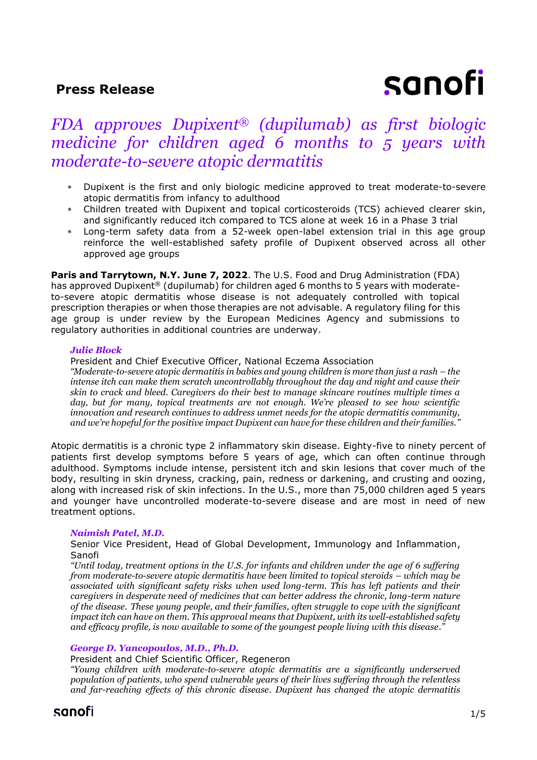# **Press Release**

# sanofi

# *FDA approves Dupixent® (dupilumab) as first biologic medicine for children aged 6 months to 5 years with moderate-to-severe atopic dermatitis*

- Dupixent is the first and only biologic medicine approved to treat moderate-to-severe atopic dermatitis from infancy to adulthood
- Children treated with Dupixent and topical corticosteroids (TCS) achieved clearer skin, and significantly reduced itch compared to TCS alone at week 16 in a Phase 3 trial
- Long-term safety data from a 52-week open-label extension trial in this age group reinforce the well-established safety profile of Dupixent observed across all other approved age groups

Paris and Tarrytown, N.Y. June 7, 2022. The U.S. Food and Drug Administration (FDA) has approved Dupixent® (dupilumab) for children aged 6 months to 5 years with moderateto-severe atopic dermatitis whose disease is not adequately controlled with topical prescription therapies or when those therapies are not advisable. A regulatory filing for this age group is under review by the European Medicines Agency and submissions to regulatory authorities in additional countries are underway.

## *Julie Block*

#### President and Chief Executive Officer, National Eczema Association

*"Moderate-to-severe atopic dermatitis in babies and young children is more than just a rash – the intense itch can make them scratch uncontrollably throughout the day and night and cause their skin to crack and bleed. Caregivers do their best to manage skincare routines multiple times a day, but for many, topical treatments are not enough. We're pleased to see how scientific innovation and research continues to address unmet needs for the atopic dermatitis community, and we're hopeful for the positive impact Dupixent can have for these children and their families."*

Atopic dermatitis is a chronic type 2 inflammatory skin disease. Eighty-five to ninety percent of patients first develop symptoms before 5 years of age, which can often continue through adulthood. Symptoms include intense, persistent itch and skin lesions that cover much of the body, resulting in skin dryness, cracking, pain, redness or darkening, and crusting and oozing, along with increased risk of skin infections. In the U.S., more than 75,000 children aged 5 years and younger have uncontrolled moderate-to-severe disease and are most in need of new treatment options.

## *Naimish Patel, M.D.*

Senior Vice President, Head of Global Development, Immunology and Inflammation, Sanofi

*"Until today, treatment options in the U.S. for infants and children under the age of 6 suffering from moderate-to-severe atopic dermatitis have been limited to topical steroids – which may be associated with significant safety risks when used long-term. This has left patients and their caregivers in desperate need of medicines that can better address the chronic, long-term nature of the disease. These young people, and their families, often struggle to cope with the significant impact itch can have on them. This approval means that Dupixent, with its well-established safety and efficacy profile, is now available to some of the youngest people living with this disease."*

## *George D. Yancopoulos, M.D., Ph.D.*

President and Chief Scientific Officer, Regeneron

*"Young children with moderate-to-severe atopic dermatitis are a significantly underserved population of patients, who spend vulnerable years of their lives suffering through the relentless and far-reaching effects of this chronic disease. Dupixent has changed the atopic dermatitis*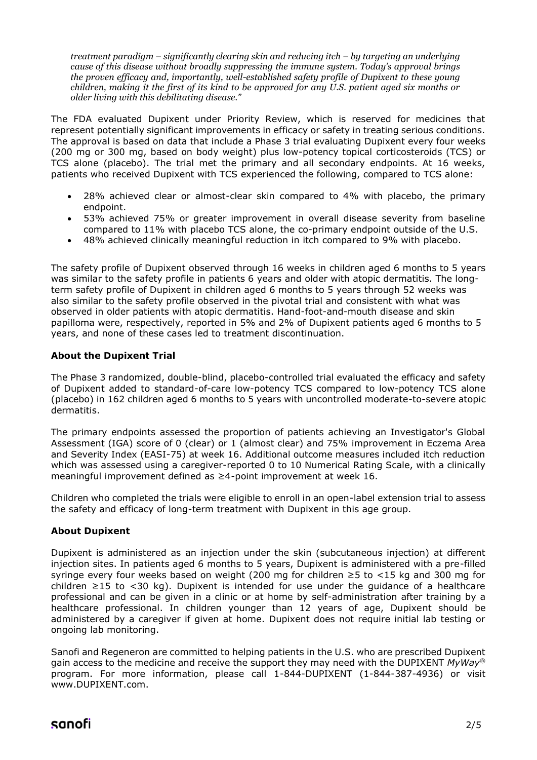*treatment paradigm – significantly clearing skin and reducing itch – by targeting an underlying cause of this disease without broadly suppressing the immune system. Today's approval brings the proven efficacy and, importantly, well-established safety profile of Dupixent to these young children, making it the first of its kind to be approved for any U.S. patient aged six months or older living with this debilitating disease."* 

The FDA evaluated Dupixent under Priority Review, which is reserved for medicines that represent potentially significant improvements in efficacy or safety in treating serious conditions. The approval is based on data that include a Phase 3 trial evaluating Dupixent every four weeks (200 mg or 300 mg, based on body weight) plus low-potency topical corticosteroids (TCS) or TCS alone (placebo). The trial met the primary and all secondary endpoints. At 16 weeks, patients who received Dupixent with TCS experienced the following, compared to TCS alone:

- 28% achieved clear or almost-clear skin compared to 4% with placebo, the primary endpoint.
- 53% achieved 75% or greater improvement in overall disease severity from baseline compared to 11% with placebo TCS alone, the co-primary endpoint outside of the U.S.
- 48% achieved clinically meaningful reduction in itch compared to 9% with placebo.

The safety profile of Dupixent observed through 16 weeks in children aged 6 months to 5 years was similar to the safety profile in patients 6 years and older with atopic dermatitis. The longterm safety profile of Dupixent in children aged 6 months to 5 years through 52 weeks was also similar to the safety profile observed in the pivotal trial and consistent with what was observed in older patients with atopic dermatitis. Hand-foot-and-mouth disease and skin papilloma were, respectively, reported in 5% and 2% of Dupixent patients aged 6 months to 5 years, and none of these cases led to treatment discontinuation.

## **About the Dupixent Trial**

The Phase 3 randomized, double-blind, placebo-controlled trial evaluated the efficacy and safety of Dupixent added to standard-of-care low-potency TCS compared to low-potency TCS alone (placebo) in 162 children aged 6 months to 5 years with uncontrolled moderate-to-severe atopic dermatitis.

The primary endpoints assessed the proportion of patients achieving an Investigator's Global Assessment (IGA) score of 0 (clear) or 1 (almost clear) and 75% improvement in Eczema Area and Severity Index (EASI-75) at week 16. Additional outcome measures included itch reduction which was assessed using a caregiver-reported 0 to 10 Numerical Rating Scale, with a clinically meaningful improvement defined as ≥4-point improvement at week 16.

Children who completed the trials were eligible to enroll in an open-label extension trial to assess the safety and efficacy of long-term treatment with Dupixent in this age group.

## **About Dupixent**

Dupixent is administered as an injection under the skin (subcutaneous injection) at different injection sites. In patients aged 6 months to 5 years, Dupixent is administered with a pre-filled syringe every four weeks based on weight (200 mg for children  $\geq$  5 to  $\lt$  15 kg and 300 mg for children  $\geq$ 15 to <30 kg). Dupixent is intended for use under the guidance of a healthcare professional and can be given in a clinic or at home by self-administration after training by a healthcare professional. In children younger than 12 years of age, Dupixent should be administered by a caregiver if given at home. Dupixent does not require initial lab testing or ongoing lab monitoring.

Sanofi and Regeneron are committed to helping patients in the U.S. who are prescribed Dupixent gain access to the medicine and receive the support they may need with the DUPIXENT *MyWay*® program. For more information, please call 1-844-DUPIXENT (1-844-387-4936) or visit www.DUPIXENT.com.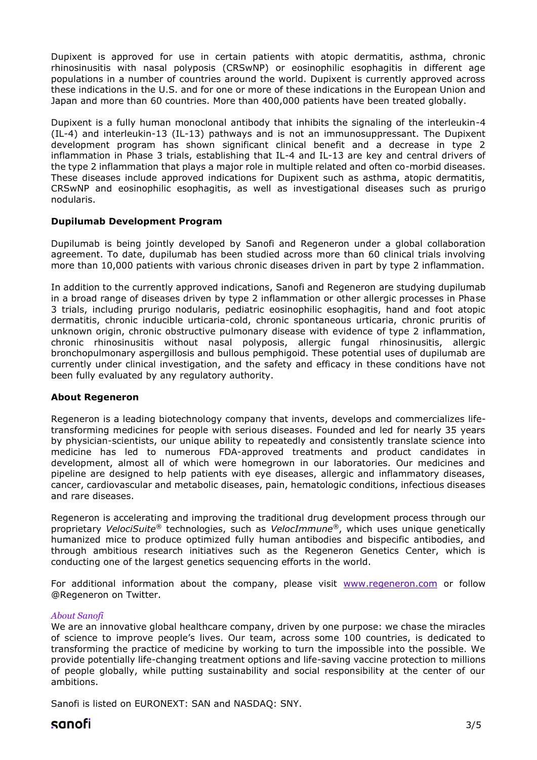Dupixent is approved for use in certain patients with atopic dermatitis, asthma, chronic rhinosinusitis with nasal polyposis (CRSwNP) or eosinophilic esophagitis in different age populations in a number of countries around the world. Dupixent is currently approved across these indications in the U.S. and for one or more of these indications in the European Union and Japan and more than 60 countries. More than 400,000 patients have been treated globally.

Dupixent is a fully human monoclonal antibody that inhibits the signaling of the interleukin-4 (IL-4) and interleukin-13 (IL-13) pathways and is not an immunosuppressant. The Dupixent development program has shown significant clinical benefit and a decrease in type 2 inflammation in Phase 3 trials, establishing that IL-4 and IL-13 are key and central drivers of the type 2 inflammation that plays a major role in multiple related and often co-morbid diseases. These diseases include approved indications for Dupixent such as asthma, atopic dermatitis, CRSwNP and eosinophilic esophagitis, as well as investigational diseases such as prurigo nodularis.

## **Dupilumab Development Program**

Dupilumab is being jointly developed by Sanofi and Regeneron under a global collaboration agreement. To date, dupilumab has been studied across more than 60 clinical trials involving more than 10,000 patients with various chronic diseases driven in part by type 2 inflammation.

In addition to the currently approved indications, Sanofi and Regeneron are studying dupilumab in a broad range of diseases driven by type 2 inflammation or other allergic processes in Phase 3 trials, including prurigo nodularis, pediatric eosinophilic esophagitis, hand and foot atopic dermatitis, chronic inducible urticaria-cold, chronic spontaneous urticaria, chronic pruritis of unknown origin, chronic obstructive pulmonary disease with evidence of type 2 inflammation, chronic rhinosinusitis without nasal polyposis, allergic fungal rhinosinusitis, allergic bronchopulmonary aspergillosis and bullous pemphigoid. These potential uses of dupilumab are currently under clinical investigation, and the safety and efficacy in these conditions have not been fully evaluated by any regulatory authority.

## **About Regeneron**

Regeneron is a leading biotechnology company that invents, develops and commercializes lifetransforming medicines for people with serious diseases. Founded and led for nearly 35 years by physician-scientists, our unique ability to repeatedly and consistently translate science into medicine has led to numerous FDA-approved treatments and product candidates in development, almost all of which were homegrown in our laboratories. Our medicines and pipeline are designed to help patients with eye diseases, allergic and inflammatory diseases, cancer, cardiovascular and metabolic diseases, pain, hematologic conditions, infectious diseases and rare diseases.

Regeneron is accelerating and improving the traditional drug development process through our proprietary *VelociSuite®* technologies, such as *VelocImmune®*, which uses unique genetically humanized mice to produce optimized fully human antibodies and bispecific antibodies, and through ambitious research initiatives such as the Regeneron Genetics Center, which is conducting one of the largest genetics sequencing efforts in the world.

For additional information about the company, please visit [www.regeneron.com](https://www.regeneron.com/) or follow @Regeneron on Twitter.

## *About Sanofi*

We are an innovative global healthcare company, driven by one purpose: we chase the miracles of science to improve people's lives. Our team, across some 100 countries, is dedicated to transforming the practice of medicine by working to turn the impossible into the possible. We provide potentially life-changing treatment options and life-saving vaccine protection to millions of people globally, while putting sustainability and social responsibility at the center of our ambitions.

Sanofi is listed on EURONEXT: SAN and NASDAQ: SNY.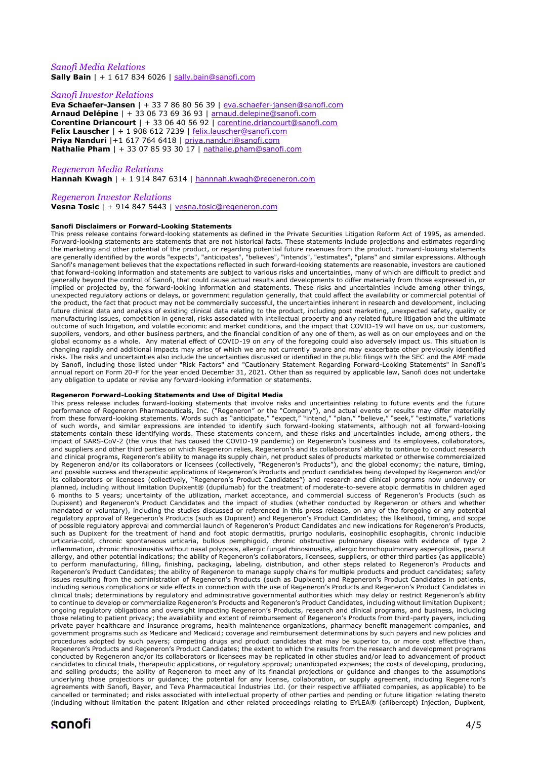#### *Sanofi Media Relations* **Sally Bain** | + 1 617 834 6026 | [sally.bain@sanofi.com](mailto:sally.bain@sanofi.com)

#### *Sanofi Investor Relations*

**Eva Schaefer-Jansen** | + 33 7 86 80 56 39 | [eva.schaefer-jansen@sanofi.com](mailto:eva.schaefer-jansen@sanofi.com) **Arnaud Delépine** | + 33 06 73 69 36 93 | [arnaud.delepine@sanofi.com](mailto:arnaud.delepine@sanofi.com) **Corentine Driancourt** | + 33 06 40 56 92 | [corentine.driancourt@sanofi.com](mailto:corentine.driancourt@sanofi.com) **Felix Lauscher** | + 1 908 612 7239 | [felix.lauscher@sanofi.com](mailto:felix.lauscher@sanofi.com) **Priya Nanduri** |+1 617 764 6418 | [priya.nanduri@sanofi.com](mailto:priya.nanduri@sanofi.com) **Nathalie Pham** | + 33 07 85 93 30 17 | [nathalie.pham@sanofi.com](mailto:nathalie.pham@sanofi.com)

#### *Regeneron Media Relations*

**Hannah Kwagh** | + 1 914 847 6314 [| hannnah.kwagh@regeneron.com](mailto:hannnah.kwagh@regeneron.com)

#### *Regeneron Investor Relations*

**Vesna Tosic** | + 914 847 5443 | [vesna.tosic@regeneron.com](mailto:vesna.tosic@regeneron.com)

#### **Sanofi Disclaimers or Forward-Looking Statements**

This press release contains forward-looking statements as defined in the Private Securities Litigation Reform Act of 1995, as amended. Forward-looking statements are statements that are not historical facts. These statements include projections and estimates regarding the marketing and other potential of the product, or regarding potential future revenues from the product. Forward-looking statements are generally identified by the words "expects", "anticipates", "believes", "intends", "estimates", "plans" and similar expressions. Although Sanofi's management believes that the expectations reflected in such forward-looking statements are reasonable, investors are cautioned that forward-looking information and statements are subject to various risks and uncertainties, many of which are difficult to predict and generally beyond the control of Sanofi, that could cause actual results and developments to differ materially from those expressed in, or implied or projected by, the forward-looking information and statements. These risks and uncertainties include among other things, unexpected regulatory actions or delays, or government regulation generally, that could affect the availability or commercial potential of the product, the fact that product may not be commercially successful, the uncertainties inherent in research and development, including future clinical data and analysis of existing clinical data relating to the product, including post marketing, unexpected safety, quality or manufacturing issues, competition in general, risks associated with intellectual property and any related future litigation and the ultimate outcome of such litigation, and volatile economic and market conditions, and the impact that COVID-19 will have on us, our customers, suppliers, vendors, and other business partners, and the financial condition of any one of them, as well as on our employees and on the global economy as a whole. Any material effect of COVID-19 on any of the foregoing could also adversely impact us. This situation is changing rapidly and additional impacts may arise of which we are not currently aware and may exacerbate other previously identified risks. The risks and uncertainties also include the uncertainties discussed or identified in the public filings with the SEC and the AMF made by Sanofi, including those listed under "Risk Factors" and "Cautionary Statement Regarding Forward-Looking Statements" in Sanofi's annual report on Form 20-F for the year ended December 31, 2021. Other than as required by applicable law, Sanofi does not undertake any obligation to update or revise any forward-looking information or statements.

#### **Regeneron Forward-Looking Statements and Use of Digital Media**

This press release includes forward-looking statements that involve risks and uncertainties relating to future events and the future performance of Regeneron Pharmaceuticals, Inc. ("Regeneron" or the "Company"), and actual events or results may differ materially from these forward-looking statements. Words such as "anticipate," "expect," "intend," "plan," "believe," "seek," "estimate," variations of such words, and similar expressions are intended to identify such forward-looking statements, although not all forward-looking statements contain these identifying words. These statements concern, and these risks and uncertainties include, among others, the impact of SARS-CoV-2 (the virus that has caused the COVID-19 pandemic) on Regeneron's business and its employees, collaborators, and suppliers and other third parties on which Regeneron relies, Regeneron's and its collaborators' ability to continue to conduct research and clinical programs, Regeneron's ability to manage its supply chain, net product sales of products marketed or otherwise commercialized by Regeneron and/or its collaborators or licensees (collectively, "Regeneron's Products"), and the global economy; the nature, timing, and possible success and therapeutic applications of Regeneron's Products and product candidates being developed by Regeneron and/or its collaborators or licensees (collectively, "Regeneron's Product Candidates") and research and clinical programs now underway or planned, including without limitation Dupixent® (dupilumab) for the treatment of moderate-to-severe atopic dermatitis in children aged 6 months to 5 years; uncertainty of the utilization, market acceptance, and commercial success of Regeneron's Products (such as Dupixent) and Regeneron's Product Candidates and the impact of studies (whether conducted by Regeneron or others and whether mandated or voluntary), including the studies discussed or referenced in this press release, on any of the foregoing or any potential regulatory approval of Regeneron's Products (such as Dupixent) and Regeneron's Product Candidates; the likelihood, timing, and scope of possible regulatory approval and commercial launch of Regeneron's Product Candidates and new indications for Regeneron's Products, such as Dupixent for the treatment of hand and foot atopic dermatitis, prurigo nodularis, eosinophilic esophagitis, chronic inducible urticaria-cold, chronic spontaneous urticaria, bullous pemphigoid, chronic obstructive pulmonary disease with evidence of type 2 inflammation, chronic rhinosinusitis without nasal polyposis, allergic fungal rhinosinusitis, allergic bronchopulmonary aspergillosis, peanut allergy, and other potential indications; the ability of Regeneron's collaborators, licensees, suppliers, or other third parties (as applicable) to perform manufacturing, filling, finishing, packaging, labeling, distribution, and other steps related to Regeneron's Products and Regeneron's Product Candidates; the ability of Regeneron to manage supply chains for multiple products and product candidates; safety issues resulting from the administration of Regeneron's Products (such as Dupixent) and Regeneron's Product Candidates in patients, including serious complications or side effects in connection with the use of Regeneron's Products and Regeneron's Product Candidates in clinical trials; determinations by regulatory and administrative governmental authorities which may delay or restrict Regeneron's ability to continue to develop or commercialize Regeneron's Products and Regeneron's Product Candidates, including without limitation Dupixent; ongoing regulatory obligations and oversight impacting Regeneron's Products, research and clinical programs, and business, including those relating to patient privacy; the availability and extent of reimbursement of Regeneron's Products from third-party payers, including private payer healthcare and insurance programs, health maintenance organizations, pharmacy benefit management companies, and government programs such as Medicare and Medicaid; coverage and reimbursement determinations by such payers and new policies and procedures adopted by such payers; competing drugs and product candidates that may be superior to, or more cost effective than, Regeneron's Products and Regeneron's Product Candidates; the extent to which the results from the research and development programs conducted by Regeneron and/or its collaborators or licensees may be replicated in other studies and/or lead to advancement of product candidates to clinical trials, therapeutic applications, or regulatory approval; unanticipated expenses; the costs of developing, producing, and selling products; the ability of Regeneron to meet any of its financial projections or guidance and changes to the assumptions underlying those projections or guidance; the potential for any license, collaboration, or supply agreement, including Regeneron's agreements with Sanofi, Bayer, and Teva Pharmaceutical Industries Ltd. (or their respective affiliated companies, as applicable) to be cancelled or terminated; and risks associated with intellectual property of other parties and pending or future litigation relating thereto (including without limitation the patent litigation and other related proceedings relating to EYLEA® (aflibercept) Injection, Dupixent,